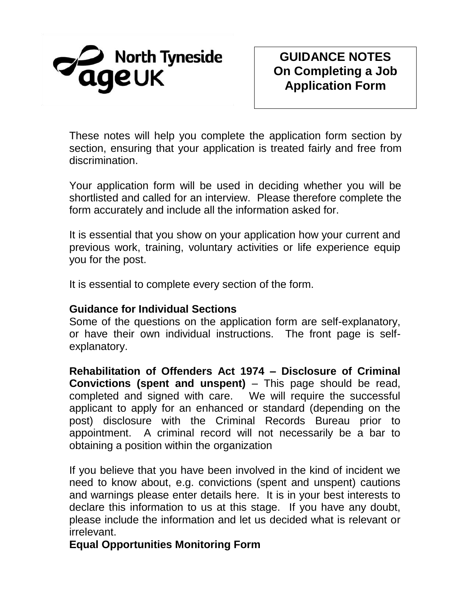

# **GUIDANCE NOTES On Completing a Job Application Form**

These notes will help you complete the application form section by section, ensuring that your application is treated fairly and free from discrimination.

Your application form will be used in deciding whether you will be shortlisted and called for an interview. Please therefore complete the form accurately and include all the information asked for.

It is essential that you show on your application how your current and previous work, training, voluntary activities or life experience equip you for the post.

It is essential to complete every section of the form.

#### **Guidance for Individual Sections**

Some of the questions on the application form are self-explanatory, or have their own individual instructions. The front page is selfexplanatory.

**Rehabilitation of Offenders Act 1974 – Disclosure of Criminal Convictions (spent and unspent)** – This page should be read, completed and signed with care. We will require the successful applicant to apply for an enhanced or standard (depending on the post) disclosure with the Criminal Records Bureau prior to appointment. A criminal record will not necessarily be a bar to obtaining a position within the organization

If you believe that you have been involved in the kind of incident we need to know about, e.g. convictions (spent and unspent) cautions and warnings please enter details here. It is in your best interests to declare this information to us at this stage. If you have any doubt, please include the information and let us decided what is relevant or irrelevant.

### **Equal Opportunities Monitoring Form**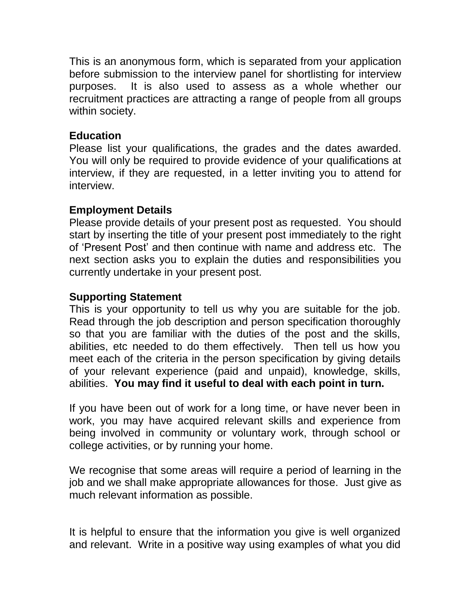This is an anonymous form, which is separated from your application before submission to the interview panel for shortlisting for interview purposes. It is also used to assess as a whole whether our recruitment practices are attracting a range of people from all groups within society.

### **Education**

Please list your qualifications, the grades and the dates awarded. You will only be required to provide evidence of your qualifications at interview, if they are requested, in a letter inviting you to attend for interview.

# **Employment Details**

Please provide details of your present post as requested. You should start by inserting the title of your present post immediately to the right of 'Present Post' and then continue with name and address etc. The next section asks you to explain the duties and responsibilities you currently undertake in your present post.

# **Supporting Statement**

This is your opportunity to tell us why you are suitable for the job. Read through the job description and person specification thoroughly so that you are familiar with the duties of the post and the skills, abilities, etc needed to do them effectively. Then tell us how you meet each of the criteria in the person specification by giving details of your relevant experience (paid and unpaid), knowledge, skills, abilities. **You may find it useful to deal with each point in turn.**

If you have been out of work for a long time, or have never been in work, you may have acquired relevant skills and experience from being involved in community or voluntary work, through school or college activities, or by running your home.

We recognise that some areas will require a period of learning in the job and we shall make appropriate allowances for those. Just give as much relevant information as possible.

It is helpful to ensure that the information you give is well organized and relevant. Write in a positive way using examples of what you did